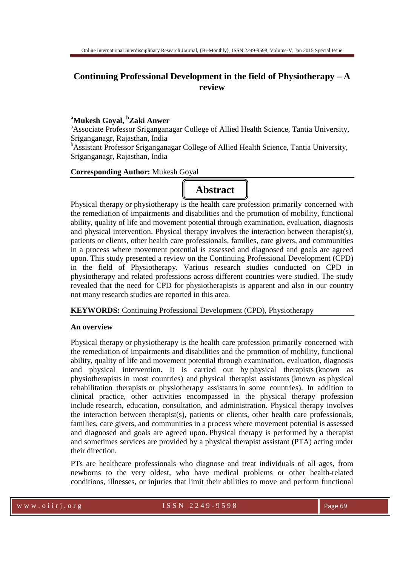# **Continuing Professional Development in the field of Physiotherapy – A review**

# **<sup>a</sup>Mukesh Goyal, <sup>b</sup>Zaki Anwer**

<sup>a</sup>Associate Professor Sriganganagar College of Allied Health Science, Tantia University, Sriganganagr, Rajasthan, India

**BAssistant Professor Sriganganagar College of Allied Health Science, Tantia University,** Sriganganagr, Rajasthan, India

### **Corresponding Author:** Mukesh Goyal



Physical therapy or physiotherapy is the health care profession primarily concerned with the remediation of impairments and disabilities and the promotion of mobility, functional ability, quality of life and movement potential through examination, evaluation, diagnosis and physical intervention. Physical therapy involves the interaction between therapist(s), patients or clients, other health care professionals, families, care givers, and communities in a process where movement potential is assessed and diagnosed and goals are agreed upon. This study presented a review on the Continuing Professional Development (CPD) in the field of Physiotherapy. Various research studies conducted on CPD in physiotherapy and related professions across different countries were studied. The study revealed that the need for CPD for physiotherapists is apparent and also in our country not many research studies are reported in this area.

**KEYWORDS:** Continuing Professional Development (CPD), Physiotherapy

# **An overview**

Physical therapy or physiotherapy is the health care profession primarily concerned with the remediation of impairments and disabilities and the promotion of mobility, functional ability, quality of life and movement potential through examination, evaluation, diagnosis and physical intervention. It is carried out by physical therapists (known as physiotherapists in most countries) and physical therapist assistants (known as physical rehabilitation therapists or physiotherapy assistants in some countries). In addition to clinical practice, other activities encompassed in the physical therapy profession include research, education, consultation, and administration. Physical therapy involves the interaction between therapist(s), patients or clients, other health care professionals, families, care givers, and communities in a process where movement potential is assessed and diagnosed and goals are agreed upon. Physical therapy is performed by a therapist and sometimes services are provided by a physical therapist assistant (PTA) acting under their direction.

PTs are healthcare professionals who diagnose and treat individuals of all ages, from newborns to the very oldest, who have medical problems or other health-related conditions, illnesses, or injuries that limit their abilities to move and perform functional

#### w w w . o ii r j . o r g  $1$  S S N  $2$   $2$  49 - 9 5 9 8 Page 69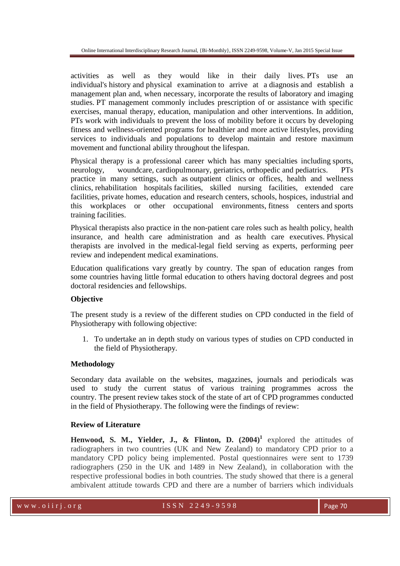activities as well as they would like in their daily lives. PTs use an individual's history and physical examination to arrive at a diagnosis and establish a management plan and, when necessary, incorporate the results of laboratory and imaging studies. PT management commonly includes prescription of or assistance with specific exercises, manual therapy, education, manipulation and other interventions. In addition, PTs work with individuals to prevent the loss of mobility before it occurs by developing fitness and wellness-oriented programs for healthier and more active lifestyles, providing services to individuals and populations to develop maintain and restore maximum movement and functional ability throughout the lifespan.

Physical therapy is a professional career which has many specialties including sports, neurology, woundcare, cardiopulmonary, geriatrics, orthopedic and pediatrics. PTs practice in many settings, such as outpatient clinics or offices, health and wellness clinics, rehabilitation hospitals facilities, skilled nursing facilities, extended care facilities, private homes, education and research centers, schools, hospices, industrial and this workplaces or other occupational environments, fitness centers and sports training facilities.

Physical therapists also practice in the non-patient care roles such as health policy, health insurance, and health care administration and as health care executives. Physical therapists are involved in the medical-legal field serving as experts, performing peer review and independent medical examinations.

Education qualifications vary greatly by country. The span of education ranges from some countries having little formal education to others having doctoral degrees and post doctoral residencies and fellowships.

# **Objective**

The present study is a review of the different studies on CPD conducted in the field of Physiotherapy with following objective:

1. To undertake an in depth study on various types of studies on CPD conducted in the field of Physiotherapy.

# **Methodology**

Secondary data available on the websites, magazines, journals and periodicals was used to study the current status of various training programmes across the country. The present review takes stock of the state of art of CPD programmes conducted in the field of Physiotherapy. The following were the findings of review:

### **Review of Literature**

**Henwood, S. M., Yielder, J., & Flinton, D. (2004)<sup>1</sup>** explored the attitudes of radiographers in two countries (UK and New Zealand) to mandatory CPD prior to a mandatory CPD policy being implemented. Postal questionnaires were sent to 1739 radiographers (250 in the UK and 1489 in New Zealand), in collaboration with the respective professional bodies in both countries. The study showed that there is a general ambivalent attitude towards CPD and there are a number of barriers which individuals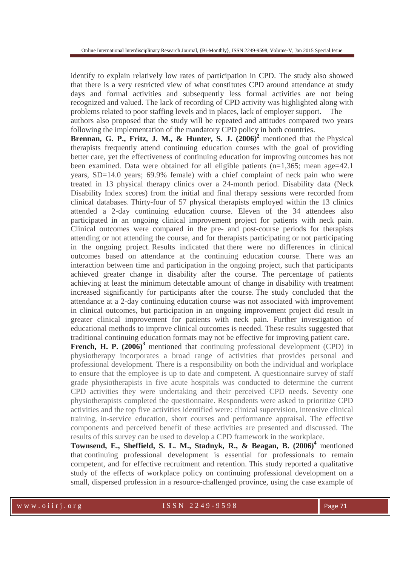identify to explain relatively low rates of participation in CPD. The study also showed that there is a very restricted view of what constitutes CPD around attendance at study days and formal activities and subsequently less formal activities are not being recognized and valued. The lack of recording of CPD activity was highlighted along with problems related to poor staffing levels and in places, lack of employer support. The authors also proposed that the study will be repeated and attitudes compared two years

following the implementation of the mandatory CPD policy in both countries.

**Brennan, G. P., Fritz, J. M., & Hunter, S. J. (2006)<sup>2</sup> mentioned that the Physical** therapists frequently attend continuing education courses with the goal of providing better care, yet the effectiveness of continuing education for improving outcomes has not been examined. Data were obtained for all eligible patients  $(n=1,365)$ ; mean age=42.1 years, SD=14.0 years; 69.9% female) with a chief complaint of neck pain who were treated in 13 physical therapy clinics over a 24-month period. Disability data (Neck Disability Index scores) from the initial and final therapy sessions were recorded from clinical databases. Thirty-four of 57 physical therapists employed within the 13 clinics attended a 2-day continuing education course. Eleven of the 34 attendees also participated in an ongoing clinical improvement project for patients with neck pain. Clinical outcomes were compared in the pre- and post-course periods for therapists attending or not attending the course, and for therapists participating or not participating in the ongoing project. Results indicated that there were no differences in clinical outcomes based on attendance at the continuing education course. There was an interaction between time and participation in the ongoing project, such that participants achieved greater change in disability after the course. The percentage of patients achieving at least the minimum detectable amount of change in disability with treatment increased significantly for participants after the course. The study concluded that the attendance at a 2-day continuing education course was not associated with improvement in clinical outcomes, but participation in an ongoing improvement project did result in greater clinical improvement for patients with neck pain. Further investigation of educational methods to improve clinical outcomes is needed. These results suggested that traditional continuing education formats may not be effective for improving patient care.

**French, H. P. (2006)<sup>3</sup>** mentioned that continuing professional development (CPD) in physiotherapy incorporates a broad range of activities that provides personal and professional development. There is a responsibility on both the individual and workplace to ensure that the employee is up to date and competent. A questionnaire survey of staff grade physiotherapists in five acute hospitals was conducted to determine the current CPD activities they were undertaking and their perceived CPD needs. Seventy one physiotherapists completed the questionnaire. Respondents were asked to prioritize CPD activities and the top five activities identified were: clinical supervision, intensive clinical training, in-service education, short courses and performance appraisal. The effective components and perceived benefit of these activities are presented and discussed. The results of this survey can be used to develop a CPD framework in the workplace.

**Townsend, E., Sheffield, S. L. M., Stadnyk, R., & Beagan, B. (2006)<sup>4</sup>** mentioned that continuing professional development is essential for professionals to remain competent, and for effective recruitment and retention. This study reported a qualitative study of the effects of workplace policy on continuing professional development on a small, dispersed profession in a resource-challenged province, using the case example of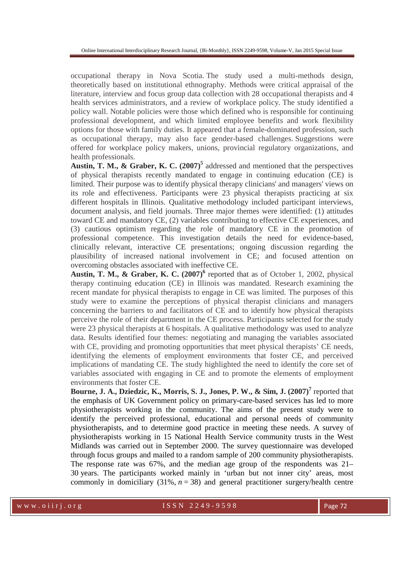occupational therapy in Nova Scotia. The study used a multi-methods design, theoretically based on institutional ethnography. Methods were critical appraisal of the literature, interview and focus group data collection with 28 occupational therapists and 4 health services administrators, and a review of workplace policy. The study identified a policy wall. Notable policies were those which defined who is responsible for continuing professional development, and which limited employee benefits and work flexibility options for those with family duties. It appeared that a female-dominated profession, such as occupational therapy, may also face gender-based challenges. Suggestions were offered for workplace policy makers, unions, provincial regulatory organizations, and health professionals.

**Austin, T. M., & Graber, K. C. (2007)<sup>5</sup>** addressed and mentioned that the perspectives of physical therapists recently mandated to engage in continuing education (CE) is limited. Their purpose was to identify physical therapy clinicians' and managers' views on its role and effectiveness. Participants were 23 physical therapists practicing at six different hospitals in Illinois. Qualitative methodology included participant interviews, document analysis, and field journals. Three major themes were identified: (1) attitudes toward CE and mandatory CE, (2) variables contributing to effective CE experiences, and (3) cautious optimism regarding the role of mandatory CE in the promotion of professional competence. This investigation details the need for evidence-based, clinically relevant, interactive CE presentations; ongoing discussion regarding the plausibility of increased national involvement in CE; and focused attention on overcoming obstacles associated with ineffective CE.

**Austin, T. M., & Graber, K. C.**  $(2007)^6$  **reported that as of October 1, 2002, physical** therapy continuing education (CE) in Illinois was mandated. Research examining the recent mandate for physical therapists to engage in CE was limited. The purposes of this study were to examine the perceptions of physical therapist clinicians and managers concerning the barriers to and facilitators of CE and to identify how physical therapists perceive the role of their department in the CE process. Participants selected for the study were 23 physical therapists at 6 hospitals. A qualitative methodology was used to analyze data. Results identified four themes: negotiating and managing the variables associated with CE, providing and promoting opportunities that meet physical therapists' CE needs, identifying the elements of employment environments that foster CE, and perceived implications of mandating CE. The study highlighted the need to identify the core set of variables associated with engaging in CE and to promote the elements of employment environments that foster CE.

**Bourne, J. A., Dziedzic, K., Morris, S. J., Jones, P. W., & Sim, J. (2007)<sup>7</sup> reported that** the emphasis of UK Government policy on primary-care-based services has led to more physiotherapists working in the community. The aims of the present study were to identify the perceived professional, educational and personal needs of community physiotherapists, and to determine good practice in meeting these needs. A survey of physiotherapists working in 15 National Health Service community trusts in the West Midlands was carried out in September 2000. The survey questionnaire was developed through focus groups and mailed to a random sample of 200 community physiotherapists. The response rate was 67%, and the median age group of the respondents was 21– 30 years. The participants worked mainly in 'urban but not inner city' areas, most commonly in domiciliary  $(31\%, n=38)$  and general practitioner surgery/health centre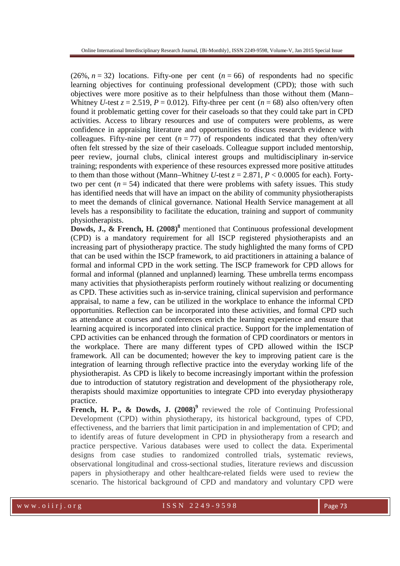(26%,  $n = 32$ ) locations. Fifty-one per cent ( $n = 66$ ) of respondents had no specific learning objectives for continuing professional development (CPD); those with such objectives were more positive as to their helpfulness than those without them (Mann– Whitney *U*-test  $z = 2.519$ ,  $P = 0.012$ ). Fifty-three per cent ( $n = 68$ ) also often/very often found it problematic getting cover for their caseloads so that they could take part in CPD activities. Access to library resources and use of computers were problems, as were confidence in appraising literature and opportunities to discuss research evidence with colleagues. Fifty-nine per cent  $(n = 77)$  of respondents indicated that they often/very often felt stressed by the size of their caseloads. Colleague support included mentorship, peer review, journal clubs, clinical interest groups and multidisciplinary in-service training; respondents with experience of these resources expressed more positive attitudes to them than those without (Mann–Whitney *U*-test  $z = 2.871$ ,  $P < 0.0005$  for each). Fortytwo per cent  $(n = 54)$  indicated that there were problems with safety issues. This study has identified needs that will have an impact on the ability of community physiotherapists to meet the demands of clinical governance. National Health Service management at all levels has a responsibility to facilitate the education, training and support of community physiotherapists.

**Dowds, J., & French, H. (2008)<sup>8</sup>** mentioned that Continuous professional development (CPD) is a mandatory requirement for all ISCP registered physiotherapists and an increasing part of physiotherapy practice. The study highlighted the many forms of CPD that can be used within the ISCP framework, to aid practitioners in attaining a balance of formal and informal CPD in the work setting. The ISCP framework for CPD allows for formal and informal (planned and unplanned) learning. These umbrella terms encompass many activities that physiotherapists perform routinely without realizing or documenting as CPD. These activities such as in-service training, clinical supervision and performance appraisal, to name a few, can be utilized in the workplace to enhance the informal CPD opportunities. Reflection can be incorporated into these activities, and formal CPD such as attendance at courses and conferences enrich the learning experience and ensure that learning acquired is incorporated into clinical practice. Support for the implementation of CPD activities can be enhanced through the formation of CPD coordinators or mentors in the workplace. There are many different types of CPD allowed within the ISCP framework. All can be documented; however the key to improving patient care is the integration of learning through reflective practice into the everyday working life of the physiotherapist. As CPD is likely to become increasingly important within the profession due to introduction of statutory registration and development of the physiotherapy role, therapists should maximize opportunities to integrate CPD into everyday physiotherapy practice.

French, H. P., & Dowds, J. (2008)<sup>9</sup> reviewed the role of Continuing Professional Development (CPD) within physiotherapy, its historical background, types of CPD, effectiveness, and the barriers that limit participation in and implementation of CPD; and to identify areas of future development in CPD in physiotherapy from a research and practice perspective. Various databases were used to collect the data. Experimental designs from case studies to randomized controlled trials, systematic reviews, observational longitudinal and cross-sectional studies, literature reviews and discussion papers in physiotherapy and other healthcare-related fields were used to review the scenario. The historical background of CPD and mandatory and voluntary CPD were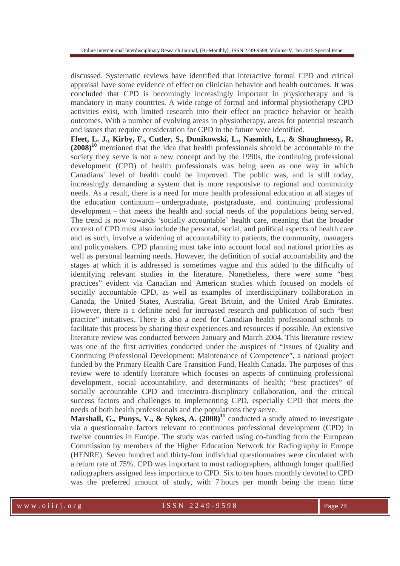discussed. Systematic reviews have identified that interactive formal CPD and critical appraisal have some evidence of effect on clinician behavior and health outcomes. It was concluded that CPD is becomingly increasingly important in physiotherapy and is mandatory in many countries. A wide range of formal and informal physiotherapy CPD activities exist, with limited research into their effect on practice behavior or health outcomes. With a number of evolving areas in physiotherapy, areas for potential research and issues that require consideration for CPD in the future were identified.

**Fleet, L. J., Kirby, F., Cutler, S., Dunikowski, L., Nasmith, L., & Shaughnessy, R. (2008)<sup>10</sup>** mentioned that the idea that health professionals should be accountable to the society they serve is not a new concept and by the 1990s, the continuing professional development (CPD) of health professionals was being seen as one way in which Canadians' level of health could be improved. The public was, and is still today, increasingly demanding a system that is more responsive to regional and community needs. As a result, there is a need for more health professional education at all stages of the education continuum – undergraduate, postgraduate, and continuing professional development – that meets the health and social needs of the populations being served. The trend is now towards 'socially accountable' health care, meaning that the broader context of CPD must also include the personal, social, and political aspects of health care and as such, involve a widening of accountability to patients, the community, managers and policymakers. CPD planning must take into account local and national priorities as well as personal learning needs. However, the definition of social accountability and the stages at which it is addressed is sometimes vague and this added to the difficulty of identifying relevant studies in the literature. Nonetheless, there were some "best practices" evident via Canadian and American studies which focused on models of socially accountable CPD, as well as examples of interdisciplinary collaboration in Canada, the United States, Australia, Great Britain, and the United Arab Emirates. However, there is a definite need for increased research and publication of such "best practice" initiatives. There is also a need for Canadian health professional schools to facilitate this process by sharing their experiences and resources if possible. An extensive literature review was conducted between January and March 2004. This literature review was one of the first activities conducted under the auspices of "Issues of Quality and Continuing Professional Development: Maintenance of Competence", a national project funded by the Primary Health Care Transition Fund, Health Canada. The purposes of this review were to identify literature which focuses on aspects of continuing professional development, social accountability, and determinants of health; "best practices" of socially accountable CPD and inter/intra-disciplinary collaboration, and the critical success factors and challenges to implementing CPD, especially CPD that meets the needs of both health professionals and the populations they serve.

**Marshall, G., Punys, V., & Sykes, A. (2008)<sup>11</sup> conducted a study aimed to investigate** via a questionnaire factors relevant to continuous professional development (CPD) in twelve countries in Europe. The study was carried using co-funding from the European Commission by members of the Higher Education Network for Radiography in Europe (HENRE). Seven hundred and thirty-four individual questionnaires were circulated with a return rate of 75%. CPD was important to most radiographers, although longer qualified radiographers assigned less importance to CPD. Six to ten hours monthly devoted to CPD was the preferred amount of study, with 7 hours per month being the mean time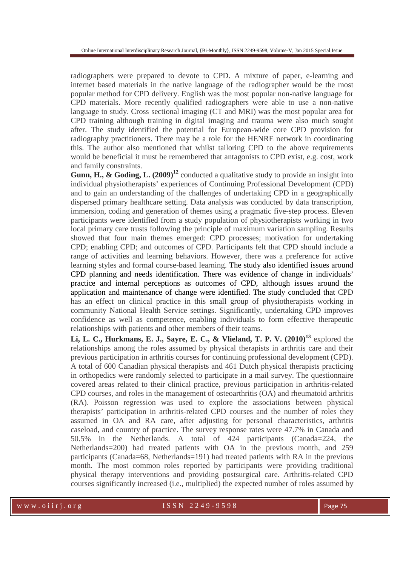radiographers were prepared to devote to CPD. A mixture of paper, e-learning and internet based materials in the native language of the radiographer would be the most popular method for CPD delivery. English was the most popular non-native language for CPD materials. More recently qualified radiographers were able to use a non-native language to study. Cross sectional imaging (CT and MRI) was the most popular area for CPD training although training in digital imaging and trauma were also much sought after. The study identified the potential for European-wide core CPD provision for radiography practitioners. There may be a role for the HENRE network in coordinating this. The author also mentioned that whilst tailoring CPD to the above requirements would be beneficial it must be remembered that antagonists to CPD exist, e.g. cost, work and family constraints.

**Gunn, H., & Goding, L. (2009)<sup>12</sup>** conducted a qualitative study to provide an insight into individual physiotherapists' experiences of Continuing Professional Development (CPD) and to gain an understanding of the challenges of undertaking CPD in a geographically dispersed primary healthcare setting. Data analysis was conducted by data transcription, immersion, coding and generation of themes using a pragmatic five-step process. Eleven participants were identified from a study population of physiotherapists working in two local primary care trusts following the principle of maximum variation sampling. Results showed that four main themes emerged: CPD processes; motivation for undertaking CPD; enabling CPD; and outcomes of CPD. Participants felt that CPD should include a range of activities and learning behaviors. However, there was a preference for active learning styles and formal course-based learning. The study also identified issues around CPD planning and needs identification. There was evidence of change in individuals' practice and internal perceptions as outcomes of CPD, although issues around the application and maintenance of change were identified. The study concluded that CPD has an effect on clinical practice in this small group of physiotherapists working in community National Health Service settings. Significantly, undertaking CPD improves confidence as well as competence, enabling individuals to form effective therapeutic relationships with patients and other members of their teams.

**Li, L. C., Hurkmans, E. J., Sayre, E. C., & Vlieland, T. P. V. (2010)<sup>13</sup>** explored the relationships among the roles assumed by physical therapists in arthritis care and their previous participation in arthritis courses for continuing professional development (CPD). A total of 600 Canadian physical therapists and 461 Dutch physical therapists practicing in orthopedics were randomly selected to participate in a mail survey. The questionnaire covered areas related to their clinical practice, previous participation in arthritis-related CPD courses, and roles in the management of osteoarthritis (OA) and rheumatoid arthritis (RA). Poisson regression was used to explore the associations between physical therapists' participation in arthritis-related CPD courses and the number of roles they assumed in OA and RA care, after adjusting for personal characteristics, arthritis caseload, and country of practice. The survey response rates were 47.7% in Canada and 50.5% in the Netherlands. A total of 424 participants (Canada=224, the Netherlands=200) had treated patients with OA in the previous month, and 259 participants (Canada=68, Netherlands=191) had treated patients with RA in the previous month. The most common roles reported by participants were providing traditional physical therapy interventions and providing postsurgical care. Arthritis-related CPD courses significantly increased (i.e., multiplied) the expected number of roles assumed by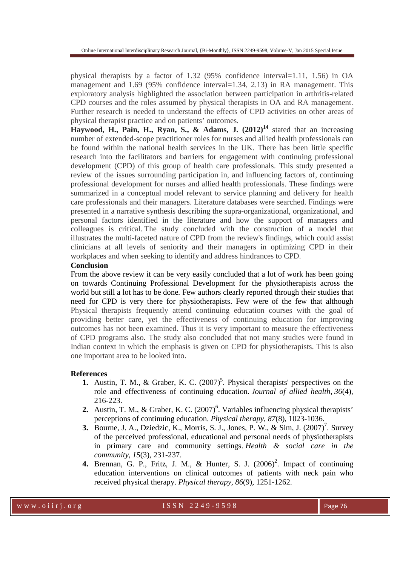physical therapists by a factor of 1.32 (95% confidence interval=1.11, 1.56) in OA management and 1.69 (95% confidence interval=1.34, 2.13) in RA management. This exploratory analysis highlighted the association between participation in arthritis-related CPD courses and the roles assumed by physical therapists in OA and RA management. Further research is needed to understand the effects of CPD activities on other areas of physical therapist practice and on patients' outcomes.

**Haywood, H., Pain, H., Ryan, S., & Adams, J. (2012)<sup>14</sup>** stated that an increasing number of extended-scope practitioner roles for nurses and allied health professionals can be found within the national health services in the UK. There has been little specific research into the facilitators and barriers for engagement with continuing professional development (CPD) of this group of health care professionals. This study presented a review of the issues surrounding participation in, and influencing factors of, continuing professional development for nurses and allied health professionals. These findings were summarized in a conceptual model relevant to service planning and delivery for health care professionals and their managers. Literature databases were searched. Findings were presented in a narrative synthesis describing the supra-organizational, organizational, and personal factors identified in the literature and how the support of managers and colleagues is critical. The study concluded with the construction of a model that illustrates the multi-faceted nature of CPD from the review's findings, which could assist clinicians at all levels of seniority and their managers in optimizing CPD in their workplaces and when seeking to identify and address hindrances to CPD.

### **Conclusion**

From the above review it can be very easily concluded that a lot of work has been going on towards Continuing Professional Development for the physiotherapists across the world but still a lot has to be done. Few authors clearly reported through their studies that need for CPD is very there for physiotherapists. Few were of the few that although Physical therapists frequently attend continuing education courses with the goal of providing better care, yet the effectiveness of continuing education for improving outcomes has not been examined. Thus it is very important to measure the effectiveness of CPD programs also. The study also concluded that not many studies were found in Indian context in which the emphasis is given on CPD for physiotherapists. This is also one important area to be looked into.

### **References**

- **1.** Austin, T. M., & Graber, K. C.  $(2007)^5$ . Physical therapists' perspectives on the role and effectiveness of continuing education. *Journal of allied health*, *36*(4), 216-223.
- **2.** Austin, T. M., & Graber, K. C.  $(2007)^6$ . Variables influencing physical therapists' perceptions of continuing education. *Physical therapy*, *87*(8), 1023-1036.
- **3.** Bourne, J. A., Dziedzic, K., Morris, S. J., Jones, P. W., & Sim, J.  $(2007)^7$ . Survey of the perceived professional, educational and personal needs of physiotherapists in primary care and community settings. *Health & social care in the community*, *15*(3), 231-237.
- **4.** Brennan, G. P., Fritz, J. M., & Hunter, S. J. (2006) 2 . Impact of continuing education interventions on clinical outcomes of patients with neck pain who received physical therapy. *Physical therapy*, *86*(9), 1251-1262.